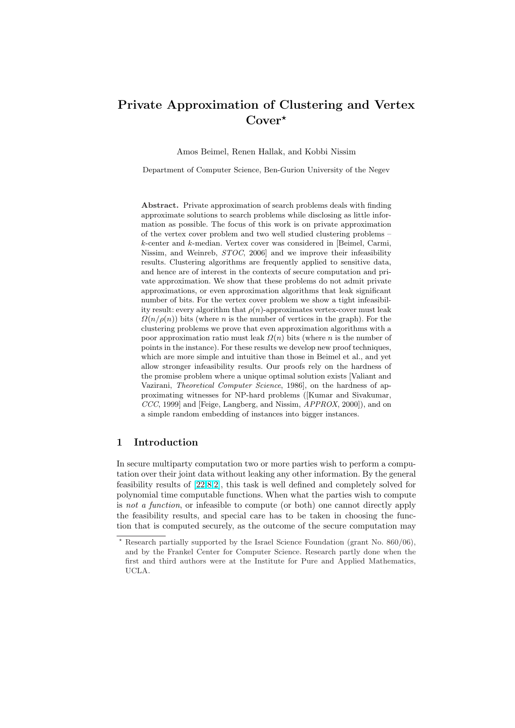# Private Approximation of Clustering and Vertex  $Cover^{\star}$

Amos Beimel, Renen Hallak, and Kobbi Nissim

Department of Computer Science, Ben-Gurion University of the Negev

Abstract. Private approximation of search problems deals with finding approximate solutions to search problems while disclosing as little information as possible. The focus of this work is on private approximation of the vertex cover problem and two well studied clustering problems – k-center and k-median. Vertex cover was considered in [Beimel, Carmi, Nissim, and Weinreb, STOC, 2006] and we improve their infeasibility results. Clustering algorithms are frequently applied to sensitive data, and hence are of interest in the contexts of secure computation and private approximation. We show that these problems do not admit private approximations, or even approximation algorithms that leak significant number of bits. For the vertex cover problem we show a tight infeasibility result: every algorithm that  $\rho(n)$ -approximates vertex-cover must leak  $\Omega(n/\rho(n))$  bits (where *n* is the number of vertices in the graph). For the clustering problems we prove that even approximation algorithms with a poor approximation ratio must leak  $\Omega(n)$  bits (where n is the number of points in the instance). For these results we develop new proof techniques, which are more simple and intuitive than those in Beimel et al., and yet allow stronger infeasibility results. Our proofs rely on the hardness of the promise problem where a unique optimal solution exists [Valiant and Vazirani, Theoretical Computer Science, 1986], on the hardness of approximating witnesses for NP-hard problems ([Kumar and Sivakumar, CCC, 1999] and [Feige, Langberg, and Nissim, APPROX, 2000]), and on a simple random embedding of instances into bigger instances.

# 1 Introduction

In secure multiparty computation two or more parties wish to perform a computation over their joint data without leaking any other information. By the general feasibility results of [22,8,2], this task is well defined and completely solved for polynomial time computable functions. When what the parties wish to compute is not a function, or infeasible to compute (or both) one cannot directly apply the feasibility results, and special care has to be taken in choosing the function that is compute[d secur](#page-20-0)ely, as the outcome of the secure computation may

<sup>?</sup> Research partially supported by the Israel Science Foundation (grant No. 860/06), and by the Frankel Center for Computer Science. Research partly done when the first and third authors were at the Institute for Pure and Applied Mathematics, UCLA.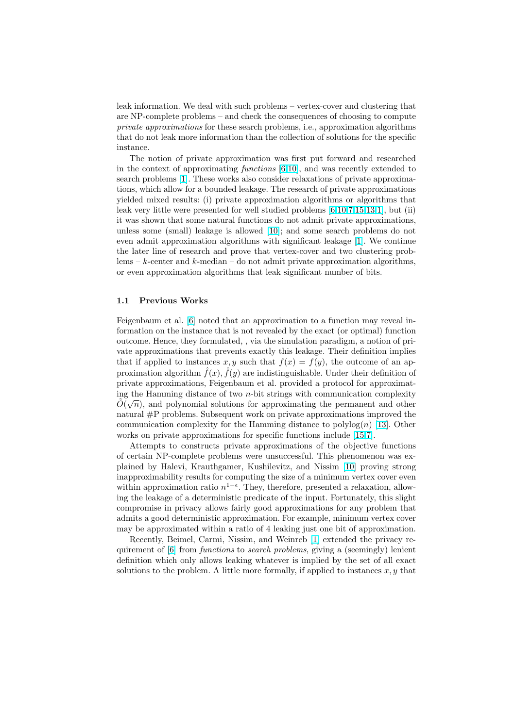leak information. We deal with such problems – vertex-cover and clustering that are NP-complete problems – and check the consequences of choosing to compute private approximations for these search problems, i.e., approximation algorithms that do not leak more information than the collection of solutions for the specific instance.

The notion of private approximation was first put forward and researched in the context of approximating functions [6,10], and was recently extended to search problems [1]. These works also consider relaxations of private approximations, which allow for a bounded leakage. The research of private approximations yielded mixed results: (i) private approximation algorithms or algorithms that leak very little were presented for well studi[ed pr](#page-20-0)oblems [6,10,7,15,13,1], but (ii) it was shown tha[t s](#page-20-0)ome natural functions do not admit private approximations, unless some (small) leakage is allowed [10]; and some search problems do not even admit approximation algorithms with significant leakage [1]. We continue the later line of research and prove that vertex-cover a[nd two clusteri](#page-20-0)ng problems –  $k$ -center and  $k$ -median – do not admit private approximation algorithms, or even approximation algorithms that l[eak](#page-20-0) significant number of bits.

#### 1.1 Previous Works

Feigenbaum et al. [6] noted that an approximation to a function may reveal information on the instance that is not revealed by the exact (or optimal) function outcome. Hence, they formulated, , via the simulation paradigm, a notion of private approximations that prevents exactly this leakage. Their definition implies that if applied to [ins](#page-20-0)tances x, y such that  $f(x) = f(y)$ , the outcome of an approximation algorithm  $\hat{f}(x)$ ,  $\hat{f}(y)$  are indistinguishable. Under their definition of private approximations, Feigenbaum et al. provided a protocol for approximating the Hamming distance of two *n*-bit strings with communication complexity  $\widetilde{O}(\sqrt{n})$ , and polynomial solutions for approximating the permanent and other natural #P problems. Subsequent work on private approximations improved the communication complexity for the Hamming distance to  $\text{polylog}(n)$  [13]. Other works on private approximations for specific functions include [15,7].

Attempts to constructs private approximations of the objective functions of certain NP-complete problems were unsuccessful. This phenomenon was explained by Halevi, Krauthgamer, Kushilevitz, and Nissim [10] pro[ving](#page-20-0) strong inapproximability results for computing the size of a minimum [vertex](#page-20-0) cover even within approximation ratio  $n^{1-\epsilon}$ . They, therefore, presented a relaxation, allowing the leakage of a deterministic predicate of the input. Fortunately, this slight compromise in privacy allows fairly good approximations fo[r an](#page-20-0)y problem that admits a good deterministic approximation. For example, minimum vertex cover may be approximated within a ratio of 4 leaking just one bit of approximation.

Recently, Beimel, Carmi, Nissim, and Weinreb [1] extended the privacy requirement of [6] from *functions* to *search problems*, giving a (seemingly) lenient definition which only allows leaking whatever is implied by the set of all exact solutions to the problem. A little more formally, if applied to instances  $x, y$  that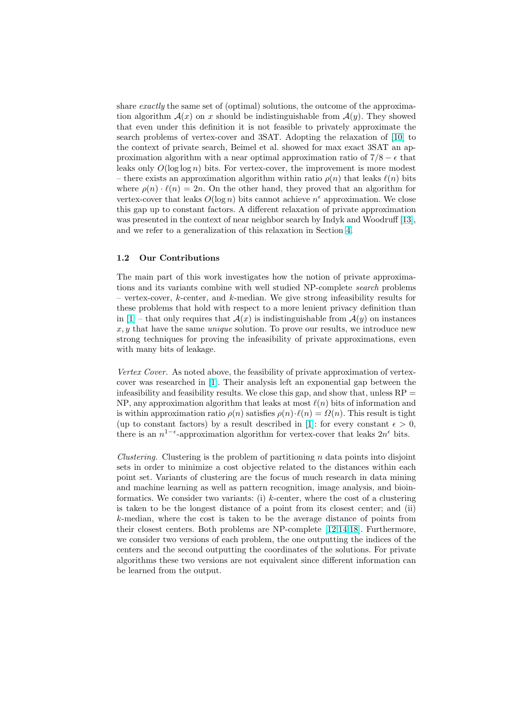share exactly the same set of (optimal) solutions, the outcome of the approximation algorithm  $A(x)$  on x should be indistinguishable from  $A(y)$ . They showed that even under this definition it is not feasible to privately approximate the search problems of vertex-cover and 3SAT. Adopting the relaxation of [10] to the context of private search, Beimel et al. showed for max exact 3SAT an approximation algorithm with a near optimal approximation ratio of  $7/8 - \epsilon$  that leaks only  $O(\log \log n)$  bits. For vertex-cover, the improvement is more modest – there exists an approximation algorithm within ratio  $\rho(n)$  that leaks  $\ell(n)$  bits where  $\rho(n) \cdot \ell(n) = 2n$ . On the other hand, they proved that an algorithm for vertex-cover that leaks  $O(\log n)$  bits cannot achieve  $n^{\epsilon}$  approximation. We close this gap up to constant factors. A different relaxation of private approximation was presented in the context of near neighbor search by Indyk and Woodruff [13], and we refer to a generalization of this relaxation in Section 4.

### 1.2 Our Contributions

The main part of this work investigates how the notion of [pr](#page-14-0)ivate approximations and its variants combine with well studied NP-complete search problems – vertex-cover, k-center, and k-median. We give strong infeasibility results for these problems that hold with respect to a more lenient privacy definition than in [1] – that only requires that  $\mathcal{A}(x)$  is indistinguishable from  $\mathcal{A}(y)$  on instances  $x, y$  that have the same *unique* solution. To prove our results, we introduce new strong techniques for proving the infeasibility of private approximations, even with many bits of leakage.

Vertex Cover. As noted above, the feasibility of private approximation of vertexcover was researched in [1]. Their analysis left an exponential gap between the infeasibility and feasibility results. We close this gap, and show that, unless  $RP =$ NP, any approximation algorithm that leaks at most  $\ell(n)$  bits of information and is within approximation ratio  $\rho(n)$  satisfies  $\rho(n) \cdot \ell(n) = \Omega(n)$ . This result is tight (up to constant factors) [by](#page-20-0) a result described in [1]: for every constant  $\epsilon > 0$ , there is an  $n^{1-\epsilon}$ -approximation algorithm for vertex-cover that leaks  $2n^{\epsilon}$  bits.

Clustering. Clustering is the problem of partitioning  $n$  data points into disjoint sets in order to minimize a cost objective related [to](#page-20-0) the distances within each point set. Variants of clustering are the focus of much research in data mining and machine learning as well as pattern recognition, image analysis, and bioinformatics. We consider two variants: (i)  $k$ -center, where the cost of a clustering is taken to be the longest distance of a point from its closest center; and (ii) k-median, where the cost is taken to be the average distance of points from their closest centers. Both problems are NP-complete [12,14,18]. Furthermore, we consider two versions of each problem, the one outputting the indices of the centers and the second outputting the coordinates of the solutions. For private algorithms these two versions are not equivalent since different information can be learned from the output.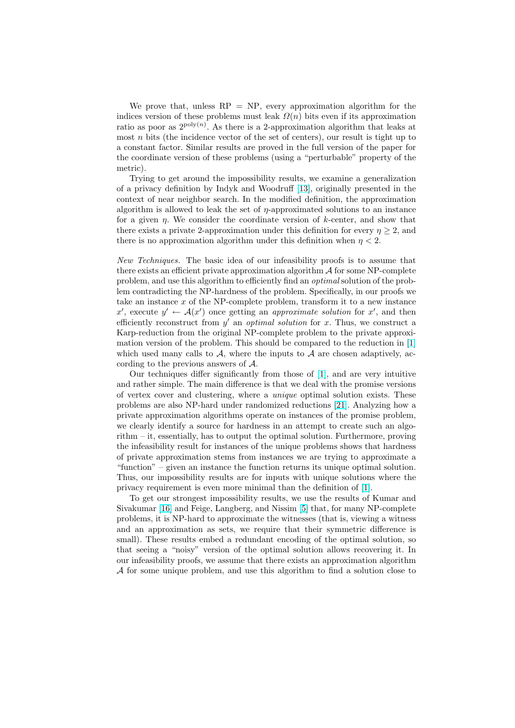We prove that, unless  $RP = NP$ , every approximation algorithm for the indices version of these problems must leak  $\Omega(n)$  bits even if its approximation ratio as poor as  $2^{\text{poly}(n)}$ . As there is a 2-approximation algorithm that leaks at most  $n$  bits (the incidence vector of the set of centers), our result is tight up to a constant factor. Similar results are proved in the full version of the paper for the coordinate version of these problems (using a "perturbable" property of the metric).

Trying to get around the impossibility results, we examine a generalization of a privacy definition by Indyk and Woodruff [13], originally presented in the context of near neighbor search. In the modified definition, the approximation algorithm is allowed to leak the set of  $\eta$ -approximated solutions to an instance for a given  $\eta$ . We consider the coordinate version of k-center, and show that there exists a private 2-approximation under thi[s de](#page-20-0)finition for every  $\eta \geq 2$ , and there is no approximation algorithm under this definition when  $\eta < 2$ .

New Techniques. The basic idea of our infeasibility proofs is to assume that there exists an efficient private approximation algorithm  $A$  for some NP-complete problem, and use this algorithm to efficiently find an optimal solution of the problem contradicting the NP-hardness of the problem. Specifically, in our proofs we take an instance x of the NP-complete problem, transform it to a new instance x', execute  $y' \leftarrow A(x')$  once getting an *approximate solution* for x', and then efficiently reconstruct from  $y'$  an *optimal solution* for  $x$ . Thus, we construct a Karp-reduction from the original NP-complete problem to the private approximation version of the problem. This should be compared to the reduction in [1] which used many calls to  $A$ , where the inputs to  $A$  are chosen adaptively, according to the previous answers of A.

Our techniques differ significantly from those of [1], and are very intuitive and rather simple. The main difference is that we deal with the promise versio[ns](#page-20-0) of vertex cover and clustering, where a unique optimal solution exists. These problems are also NP-hard under randomized reductions [21]. Analyzing how a private approximation algorithms operate on instanc[es](#page-20-0) of the promise problem, we clearly identify a source for hardness in an attempt to create such an algorithm – it, essentially, has to output the optimal solution. Furthermore, proving the infeasibility result for instances of the unique problem[s sh](#page-20-0)ows that hardness of private approximation stems from instances we are trying to approximate a "function" – given an instance the function returns its unique optimal solution. Thus, our impossibility results are for inputs with unique solutions where the privacy requirement is even more minimal than the definition of [1].

To get our strongest impossibility results, we use the results of Kumar and Sivakumar [16] and Feige, Langberg, and Nissim [5] that, for many NP-complete problems, it is NP-hard to approximate the witnesses (that is, viewing a witness and an approximation as sets, we require that their symmetri[c](#page-20-0) difference is small). These results embed a redundant encoding of the optimal solution, so that seeing [a](#page-20-0) "noisy" version of the optimal so[lu](#page-20-0)tion allows recovering it. In our infeasibility proofs, we assume that there exists an approximation algorithm A for some unique problem, and use this algorithm to find a solution close to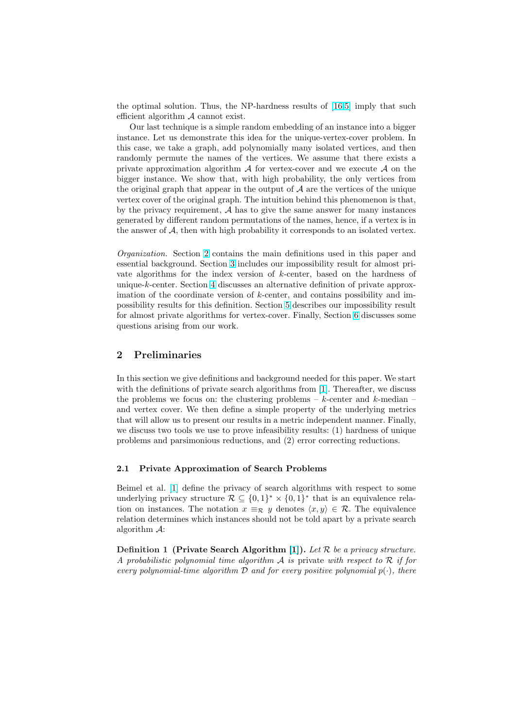<span id="page-4-0"></span>the optimal solution. Thus, the NP-hardness results of [16,5] imply that such efficient algorithm A cannot exist.

Our last technique is a simple random embedding of an instance into a bigger instance. Let us demonstrate this idea for the unique-vertex-cover problem. In this case, we take a graph, add polynomially many isola[ted v](#page-20-0)ertices, and then randomly permute the names of the vertices. We assume that there exists a private approximation algorithm  $\mathcal A$  for vertex-cover and we execute  $\mathcal A$  on the bigger instance. We show that, with high probability, the only vertices from the original graph that appear in the output of  $A$  are the vertices of the unique vertex cover of the original graph. The intuition behind this phenomenon is that, by the privacy requirement,  $A$  has to give the same answer for many instances generated by different random permutations of the names, hence, if a vertex is in the answer of A, then with high probability it corresponds to an isolated vertex.

Organization. Section 2 contains the main definitions used in this paper and essential background. Section 3 includes our impossibility result for almost private algorithms for the index version of k-center, based on the hardness of unique-k-center. Section 4 discusses an alternative definition of private approximation of the coordinate version of  $k$ -center, and contains possibility and impossibility results for this defi[nit](#page-9-0)ion. Section 5 describes our impossibility result for almost private algorithms for vertex-cover. Finally, Section 6 discusses some questions arising from o[ur](#page-14-0) work.

# 2 Preliminaries

In this section we give definitions and background needed for this paper. We start with the definitions of private search algorithms from [1]. Thereafter, we discuss the problems we focus on: the clustering problems  $-k$ -center and  $k$ -median  $-k$ and vertex cover. We then define a simple property of the underlying metrics that will allow us to present our results in a metric independent manner. Finally, we discuss two tools we use to prove infeasibility resul[ts](#page-20-0): (1) hardness of unique problems and parsimonious reductions, and (2) error correcting reductions.

### 2.1 Private Approximation of Search Problems

Beimel et al. [1] define the privacy of search algorithms with respect to some underlying privacy structure  $\mathcal{R} \subseteq \{0,1\}^* \times \{0,1\}^*$  that is an equivalence relation on instances. The notation  $x \equiv_{\mathcal{R}} y$  denotes  $\langle x, y \rangle \in \mathcal{R}$ . The equivalence relation determines which instances should not be told apart by a private search algorithm A:

Definition 1 (Private Search Algorithm [1]). Let  $\mathcal R$  be a privacy structure. A probabilistic polynomial time algorithm  $\mathcal A$  is private with respect to  $\mathcal R$  if for every polynomial-time algorithm  $\mathcal D$  and for every positive polynomial  $p(\cdot)$ , there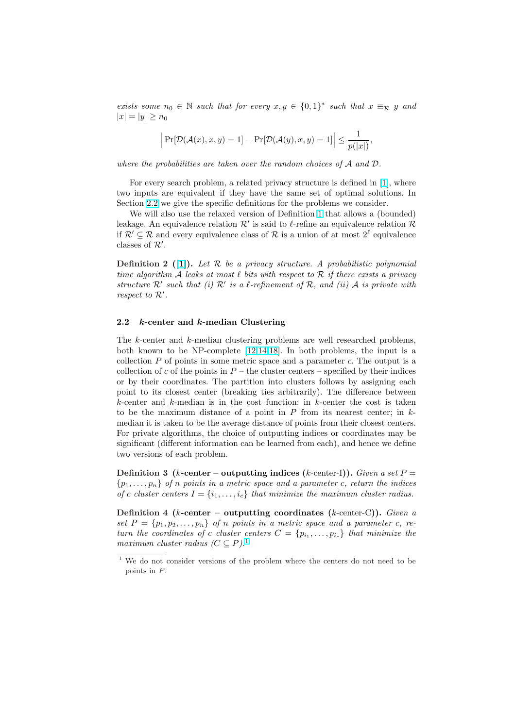<span id="page-5-0"></span>exists some  $n_0 \in \mathbb{N}$  such that for every  $x, y \in \{0,1\}^*$  such that  $x \equiv_{\mathcal{R}} y$  and  $|x| = |y| \geq n_0$ 

$$
\left|\Pr[\mathcal{D}(\mathcal{A}(x), x, y) = 1] - \Pr[\mathcal{D}(\mathcal{A}(y), x, y) = 1]\right| \le \frac{1}{p(|x|)},
$$

where the probabilities are taken over the random choices of  $A$  and  $D$ .

For every search problem, a related privacy structure is defined in [1], where two inputs are equivalent if they have the same set of optimal solutions. In Section 2.2 we give the specific definitions for the problems we consider.

We will also use the relaxed version of Definition 1 that allows a (bounded) leakage. An equivalence r[ela](#page-20-0)tion  $\mathcal{R}'$  is said to  $\ell$ -refine an equivalence relation  $\mathcal R$ if  $\mathcal{R}' \subseteq \mathcal{R}$  and every equivalence class of  $\mathcal{R}$  is a union of at most  $2^{\ell}$  equivalence classes of  $\mathcal{R}'$ .

**Definition 2** (1). Let  $\mathcal{R}$  be a privacy structure. [A](#page-4-0) probabilistic polynomial time algorithm A leaks at most  $\ell$  bits with respect to  $\mathcal R$  if there exists a privacy structure  $\mathcal{R}'$  such that (i)  $\mathcal{R}'$  is a  $\ell$ -refinement of  $\mathcal{R}$ , and (ii)  $\mathcal{A}$  is private with respect to  $\mathcal{R}'$ .

#### 2.2 k-center and k-median Clustering

The k-center and k-median clustering problems are well researched problems, both known to be NP-complete [12,14,18]. In both problems, the input is a collection  $P$  of points in some metric space and a parameter  $c$ . The output is a collection of c of the points in  $P$  – the cluster centers – specified by their indices or by their coordinates. The partition into clusters follows by assigning each point to its closest center (break[ing ties a](#page-20-0)rbitrarily). The difference between  $k$ -center and  $k$ -median is in the cost function: in  $k$ -center the cost is taken to be the maximum distance of a point in  $P$  from its nearest center; in  $k$ median it is taken to be the average distance of points from their closest centers. For private algorithms, the choice of outputting indices or coordinates may be significant (different information can be learned from each), and hence we define two versions of each problem.

Definition 3 (k-center – outputting indices (k-center-I)). Given a set  $P =$  $\{p_1, \ldots, p_n\}$  of n points in a metric space and a parameter c, return the indices of c cluster centers  $I = \{i_1, \ldots, i_c\}$  that minimize the maximum cluster radius.

Definition 4 ( $k$ -center – outputting coordinates ( $k$ -center-C)). Given a set  $P = \{p_1, p_2, \ldots, p_n\}$  of n points in a metric space and a parameter c, return the coordinates of c cluster centers  $C = \{p_{i_1}, \ldots, p_{i_c}\}\$  that minimize the maximum cluster radius  $(C \subseteq P)$ .<sup>1</sup>

<sup>1</sup> We do not consider versions of the problem where the centers do not need to be points in P.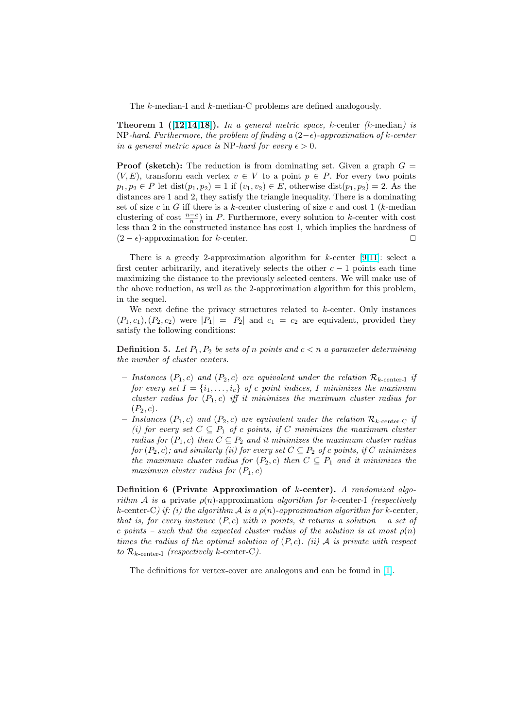The k-median-I and k-median-C problems are defined analogously.

**Theorem 1** ([12,14,18]). In a general metric space, k-center (k-median) is NP-hard. Furthermore, the problem of finding a  $(2-\epsilon)$ -approximation of k-center in a general metric space is NP-hard for every  $\epsilon > 0$ .

**Proof (sketc[h\):](#page-20-0)** [The re](#page-20-0)duction is from dominating set. Given a graph  $G =$  $(V, E)$ , transform each vertex  $v \in V$  to a point  $p \in P$ . For every two points  $p_1, p_2 \in P$  let  $dist(p_1, p_2) = 1$  if  $(v_1, v_2) \in E$ , otherwise  $dist(p_1, p_2) = 2$ . As the distances are 1 and 2, they satisfy the triangle inequality. There is a dominating set of size c in G iff there is a k-center clustering of size c and cost 1 (k-median clustering of cost  $\frac{n-c}{n}$ ) in P. Furthermore, every solution to k-center with cost less than 2 in the constructed instance has cost 1, which implies the hardness of  $(2 - \epsilon)$ -approximation for k-center.

There is a greedy 2-approximation algorithm for  $k$ -center [9,11]: select a first center arbitrarily, and iteratively selects the other  $c - 1$  points each time maximizing the distance to the previously selected centers. We will make use of the above reduction, as well as the 2-approximation algorithm for this problem, in the sequel.

We next define the privacy structures related to  $k$ -center. Only instances  $(P_1, c_1), (P_2, c_2)$  were  $|P_1| = |P_2|$  and  $c_1 = c_2$  are equivalent, provided they satisfy the following conditions:

**Definition 5.** Let  $P_1, P_2$  be sets of n points and  $c < n$  a parameter determining the number of cluster centers.

- Instances  $(P_1, c)$  and  $(P_2, c)$  are equivalent under the relation  $\mathcal{R}_{k\text{-center-1}}$  if for every set  $I = \{i_1, \ldots, i_c\}$  of c point indices, I minimizes the maximum cluster radius for  $(P_1, c)$  iff it minimizes the maximum cluster radius for  $(P_2, c)$ .
- Instances  $(P_1, c)$  and  $(P_2, c)$  are equivalent under the relation  $\mathcal{R}_{k\text{-center}}$  if (i) for every set  $C \subseteq P_1$  of c points, if C minimizes the maximum cluster radius for  $(P_1, c)$  then  $C \subseteq P_2$  and it minimizes the maximum cluster radius for  $(P_2, c)$ ; and similarly (ii) for every set  $C \subseteq P_2$  of c points, if C minimizes the maximum cluster radius for  $(P_2, c)$  then  $C \subseteq P_1$  and it minimizes the maximum cluster radius for  $(P_1, c)$

Definition 6 (Private Approximation of k-center). A randomized algorithm A is a private  $\rho(n)$ -approximation algorithm for k-center-I (respectively k-center-C) if: (i) the algorithm A is a  $\rho(n)$ -approximation algorithm for k-center, that is, for every instance  $(P, c)$  with n points, it returns a solution – a set of c points – such that the expected cluster radius of the solution is at most  $\rho(n)$ times the radius of the optimal solution of  $(P, c)$ . (ii) A is private with respect to  $\mathcal{R}_{k\text{-center-I}}$  (respectively k-center-C).

The definitions for vertex-cover are analogous and can be found in [1].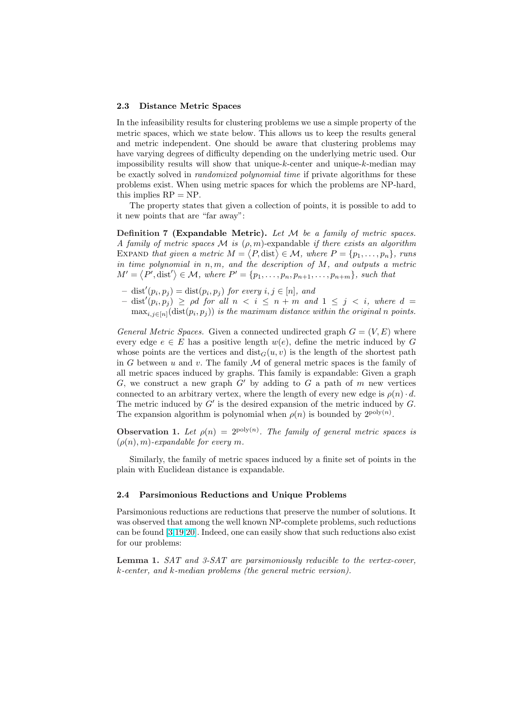#### <span id="page-7-0"></span>2.3 Distance Metric Spaces

In the infeasibility results for clustering problems we use a simple property of the metric spaces, which we state below. This allows us to keep the results general and metric independent. One should be aware that clustering problems may have varying degrees of difficulty depending on the underlying metric used. Our impossibility results will show that unique- $k$ -center and unique- $k$ -median may be exactly solved in randomized polynomial time if private algorithms for these problems exist. When using metric spaces for which the problems are NP-hard, this implies  $RP = NP$ .

The property states that given a collection of points, it is possible to add to it new points that are "far away":

Definition 7 (Expandable Metric). Let  $M$  be a family of metric spaces. A family of metric spaces  $\mathcal M$  is  $(\rho, m)$ -expandable if there exists an algorithm A jamuy of metric spaces  $\mathcal{M}$  is  $(\rho, m)$ -expandable if there exists an algorithm<br>EXPAND that given a metric  $M = \langle P, \text{dist} \rangle \in \mathcal{M}$ , where  $P = \{p_1, \ldots, p_n\}$ , runs in time polynomial in  $n, m$ , and the description of  $M$ , and outputs a metric  $M' = \langle P', \text{dist}' \rangle \in \mathcal{M}, \text{ where } P' = \{p_1, \ldots, p_n, p_{n+1}, \ldots, p_{n+m}\}, \text{ such that }$ 

- $-$  dist $'(p_i, p_j) =$  dist $(p_i, p_j)$  for every  $i, j \in [n]$ , and
- $-$  dist $'(p_i, p_j) \geq \rho d$  for all  $n < i \leq n+m$  and  $1 \leq j < i$ , where  $d =$  $\max_{i,j\in[n]}(\text{dist}(p_i, p_j))$  is the maximum distance within the original n points.

General Metric Spaces. Given a connected undirected graph  $G = (V, E)$  where every edge  $e \in E$  has a positive length  $w(e)$ , define the metric induced by G whose points are the vertices and  $dist_G(u, v)$  is the length of the shortest path in G between u and v. The family  $\mathcal M$  of general metric spaces is the family of all metric spaces induced by graphs. This family is expandable: Given a graph G, we construct a new graph  $G'$  by adding to G a path of m new vertices connected to an arbitrary vertex, where the length of every new edge is  $\rho(n) \cdot d$ . The metric induced by  $G'$  is the desired expansion of the metric induced by  $G$ . The expansion algorithm is polynomial when  $\rho(n)$  is bounded by  $2^{\text{poly}(n)}$ .

**Observation 1.** Let  $\rho(n) = 2^{\text{poly}(n)}$ . The family of general metric spaces is  $(\rho(n), m)$ -expandable for every m.

Similarly, the family of metric spaces induced by a finite set of points in the plain with Euclidean distance is expandable.

### 2.4 Parsimonious Reductions and Unique Problems

Parsimonious reductions are reductions that preserve the number of solutions. It was observed that among the well known NP-complete problems, such reductions can be found [3,19,20]. Indeed, one can easily show that such reductions also exist for our problems:

Lemma 1. SAT and 3-SAT are parsimoniously reducible to the vertex-cover, k-center, and [k](#page-20-0)[-media](#page-20-0)n problems (the general metric version).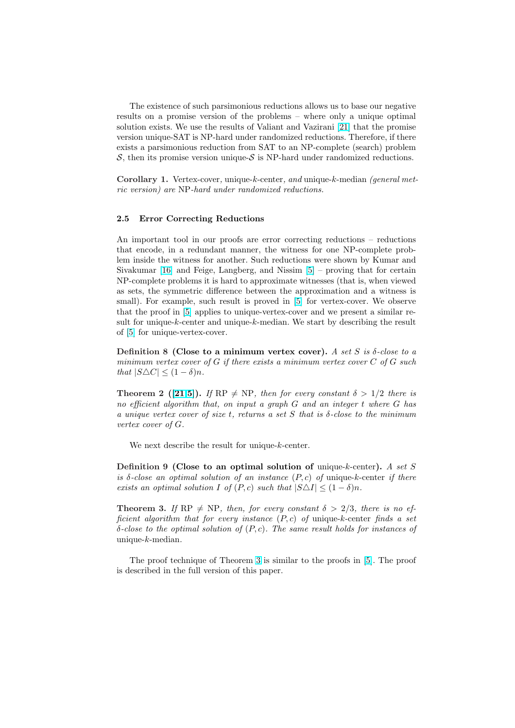<span id="page-8-0"></span>The existence of such parsimonious reductions allows us to base our negative results on a promise version of the problems – where only a unique optimal solution exists. We use the results of Valiant and Vazirani [21] that the promise version unique-SAT is NP-hard under randomized reductions. Therefore, if there exists a parsimonious reduction from SAT to an NP-complete (search) problem  $S$ , then its promise version unique- $S$  is NP-hard under randomized reductions.

Corollary 1. Vertex-cover, unique-k-center, and unique-k-median (general metric version) are NP-hard under randomized reductions.

### 2.5 Error Correcting Reductions

An important tool in our proofs are error correcting reductions – reductions that encode, in a redundant manner, the witness for one NP-complete problem inside the witness for another. Such reductions were shown by Kumar and Sivakumar [16] and Feige, Langberg, and Nissim [5] – proving that for certain NP-complete problems it is hard to approximate witnesses (that is, when viewed as sets, the symmetric difference between the approximation and a witness is small). For example, such result is proved in [5] for vertex-cover. We observe that the pr[oof](#page-20-0) in [5] applies to unique-vertex-cove[r a](#page-20-0)nd we present a similar result for unique-k-center and unique-k-median. We start by describing the result of [5] for unique-vertex-cover.

Definition 8 (C[lo](#page-20-0)se to a minimum vertex [c](#page-20-0)over). A set S is  $\delta$ -close to a minimum vertex cover of G if there exists a minimum vertex cover C of G such th[at](#page-20-0)  $|S \triangle C| \leq (1 - \delta)n$ .

**Theorem 2** ([21,5]). If RP  $\neq$  NP, then for every constant  $\delta > 1/2$  there is no efficient algorithm that, on input a graph G and an integer t where G has a unique vertex cover of size t, returns a set S that is δ-close to the minimum vertex cover of G.

We next describe the result for unique-k-center.

Definition 9 (Close to an optimal solution of unique-k-center). A set  $S$ is  $\delta$ -close an optimal solution of an instance  $(P, c)$  of unique-k-center if there exists an optimal solution I of  $(P, c)$  such that  $|S \triangle I| \leq (1 - \delta)n$ .

**Theorem 3.** If RP  $\neq$  NP, then, for every constant  $\delta > 2/3$ , there is no efficient algorithm that for every instance  $(P, c)$  of unique-k-center finds a set δ-close to the optimal solution of  $(P, c)$ . The same result holds for instances of unique- $k$ -median.

The proof technique of Theorem 3 is similar to the proofs in [5]. The proof is described in the full version of this paper.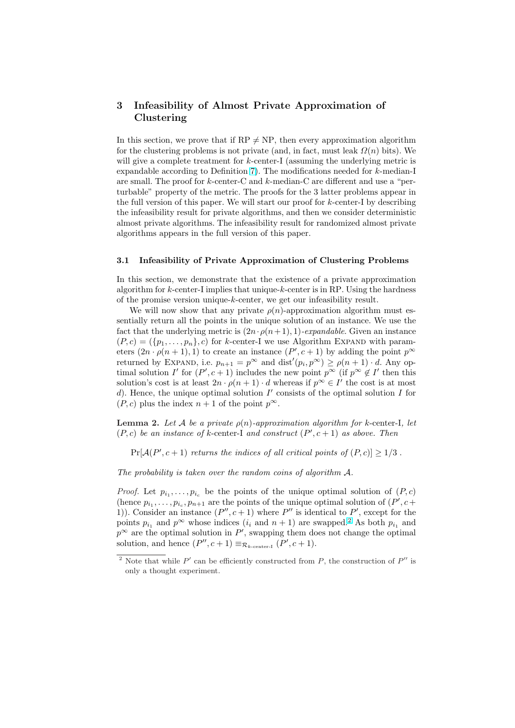# <span id="page-9-0"></span>3 Infeasibility of Almost Private Approximation of Clustering

In this section, we prove that if  $RP \neq NP$ , then every approximation algorithm for the clustering problems is not private (and, in fact, must leak  $\Omega(n)$  bits). We will give a complete treatment for k-center-I (assuming the underlying metric is expandable according to Definition 7). The modifications needed for k-median-I are small. The proof for k-center-C and k-median-C are different and use a "perturbable" property of the metric. The proofs for the 3 latter problems appear in the full version of this paper. We will start our proof for k-center-I by describing the infeasibility result for private al[go](#page-7-0)rithms, and then we consider deterministic almost private algorithms. The infeasibility result for randomized almost private algorithms appears in the full version of this paper.

#### 3.1 Infeasibility of Private Approximation of Clustering Problems

In this section, we demonstrate that the existence of a private approximation algorithm for  $k$ -center-I implies that unique- $k$ -center is in RP. Using the hardness of the promise version unique-k-center, we get our infeasibility result.

We will now show that any private  $\rho(n)$ -approximation algorithm must essentially return all the points in the unique solution of an instance. We use the fact that the underlying metric is  $(2n \cdot \rho(n+1), 1)$ -expandable. Given an instance  $(P, c) = (\{p_1, \ldots, p_n\}, c)$  for k-center-I we use Algorithm EXPAND with parameters  $(2n \cdot \rho(n+1), 1)$  to create an instance  $(P', c+1)$  by adding the point  $p^{\infty}$ returned by EXPAND, i.e.  $p_{n+1} = p^{\infty}$  and  $dist'(p_i, p^{\infty}) \geq \rho(n+1) \cdot d$ . Any optimal solution I' for  $(P', c+1)$  includes the new point  $p^{\infty}$  (if  $p^{\infty} \notin I'$  then this solution's cost is at least  $2n \cdot \rho(n+1) \cdot d$  whereas if  $p^{\infty} \in I'$  the cost is at most d). Hence, the unique optimal solution  $I'$  consists of the optimal solution  $I$  for  $(P, c)$  plus the index  $n + 1$  of the point  $p^{\infty}$ .

**Lemma 2.** Let A be a private  $\rho(n)$ -approximation algorithm for k-center-I, let  $(P, c)$  be an instance of k-center-I and construct  $(P', c + 1)$  as above. Then

 $Pr[\mathcal{A}(P', c+1)$  returns the indices of all critical points of  $(P, c)] \geq 1/3$ .

The probability is taken over the random coins of algorithm A.

*Proof.* Let  $p_{i_1}, \ldots, p_{i_c}$  be the points of the unique optimal solution of  $(P, c)$ (hence  $p_{i_1}, \ldots, p_{i_c}, p_{n+1}$  are the points of the unique optimal solution of  $(P', c +$ 1). Consider an instance  $(P'', c+1)$  where P'' is identical to P', except for the points  $p_{i_1}$  and  $p^{\infty}$  whose indices  $(i_i \text{ and } n+1)$  are swapped.<sup>2</sup> As both  $p_{i_1}$  and  $p^{\infty}$  are the optimal solution in P', swapping them does not change the optimal solution, and hence  $(P'', c+1) \equiv_{\mathcal{R}_{k\text{-center-I}}} (P', c+1)$ .

<sup>&</sup>lt;sup>2</sup> Note that while  $P'$  can be efficiently constructed from P, the construction of  $P''$  is only a thought experiment.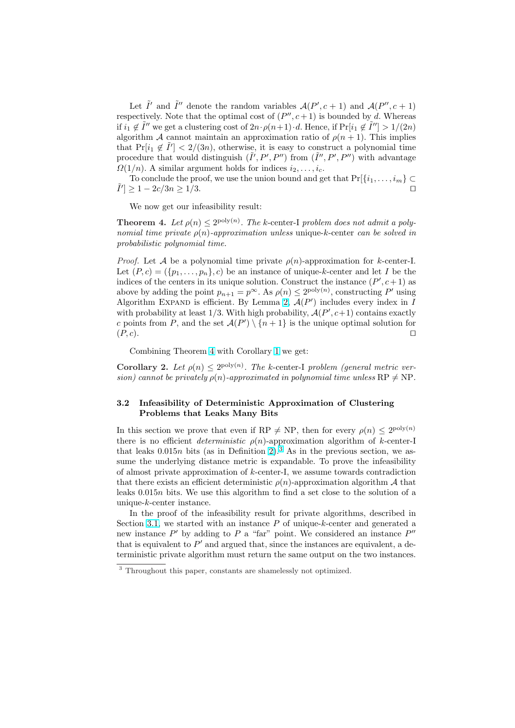<span id="page-10-0"></span>Let  $\tilde{I}'$  and  $\tilde{I}''$  denote the random variables  $\mathcal{A}(P', c+1)$  and  $\mathcal{A}(P'', c+1)$ respectively. Note that the optimal cost of  $(P'', c+1)$  is bounded by d. Whereas if  $i_1 \notin \tilde{I}''$  we get a clustering cost of  $2n \cdot \rho(n+1) \cdot d$ . Hence, if  $Pr[i_1 \notin \tilde{I}''] > 1/(2n)$ algorithm A cannot maintain an approximation ratio of  $\rho(n+1)$ . This implies that  $Pr[i_1 \notin \tilde{I}'] < 2/(3n)$ , otherwise, it is easy to construct a polynomial time procedure that would distinguish  $(\tilde{I}', P', P'')$  from  $(\tilde{I}'', P', P'')$  with advantage  $\Omega(1/n)$ . A similar argument holds for indices  $i_2, \ldots, i_c$ .

To conclude the proof, we use the union bound and get that  $Pr[\{i_1, \ldots, i_m\} \subset$  $\tilde{I}' \geq 1 - 2c/3n \geq 1/3.$ 

We now get our infeasibility result:

**Theorem 4.** Let  $\rho(n) \leq 2^{\text{poly}(n)}$ . The k-center-I problem does not admit a polynomial time private  $\rho(n)$ -approximation unless unique-k-center can be solved in probabilistic polynomial time.

*Proof.* Let A be a polynomial time private  $\rho(n)$ -approximation for k-center-I. Let  $(P, c) = (\{p_1, \ldots, p_n\}, c)$  be an instance of unique-k-center and let I be the indices of the centers in its unique solution. Construct the instance  $(P', c+1)$  as above by adding the point  $p_{n+1} = p^{\infty}$ . As  $\rho(n) \leq 2^{\text{poly}(n)}$ , constructing P' using Algorithm EXPAND is efficient. By Lemma 2,  $\mathcal{A}(P')$  includes every index in I with probability at least  $1/3$ . With high probability,  $\mathcal{A}(P', c+1)$  contains exactly c points from P, and the set  $\mathcal{A}(P') \setminus \{n+1\}$  is the unique optimal solution for  $(P, c)$ .

Combining Theorem 4 with Corollary 1 [we](#page-9-0) get:

Corollary 2. Let  $\rho(n) \leq 2^{\text{poly}(n)}$ . The k-center-I problem (general metric version) cannot be privately  $\rho(n)$ -approximated in polynomial time unless  $RP \neq NP$ .

### 3.2 Infeasibility of Deterministic Approximation of Clustering Problems that Leaks Many Bits

In this section we prove that even if RP  $\neq$  NP, then for every  $\rho(n) \leq 2^{\text{poly}(n)}$ there is no efficient *deterministic*  $\rho(n)$ -approximation algorithm of k-center-I that leaks  $0.015n$  bits (as in Definition 2).<sup>3</sup> As in the previous section, we assume the underlying distance metric is expandable. To prove the infeasibility of almost private approximation of  $k$ -center-I, we assume towards contradiction that there exists an efficient deterministic  $\rho(n)$ -approximation algorithm A that leaks 0.015n bits. We use this algorith[m t](#page-5-0)o find a set close to the solution of a unique-k-center instance.

In the proof of the infeasibility result for private algorithms, described in Section 3.1, we started with an instance  $P$  of unique-k-center and generated a new instance  $P'$  by adding to P a "far" point. We considered an instance  $P''$ that is equivalent to  $P'$  and argued that, since the instances are equivalent, a deterministic private algorithm must return the same output on the two instances.

<sup>3</sup> Thro[ugho](#page-9-0)ut this paper, constants are shamelessly not optimized.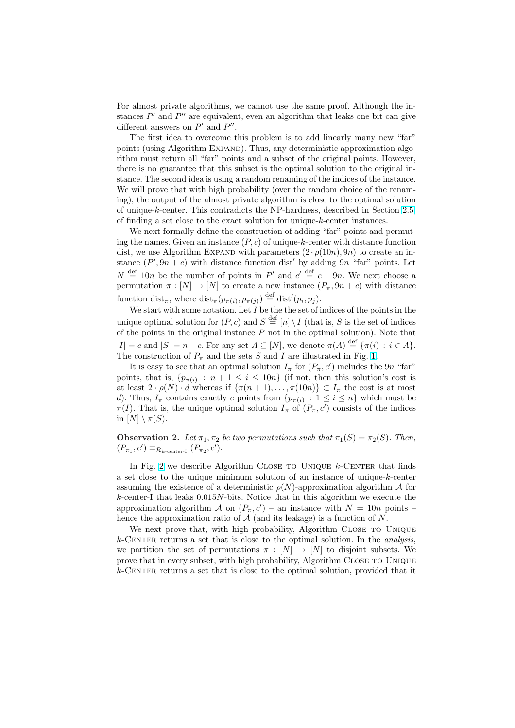For almost private algorithms, we cannot use the same proof. Although the instances  $P'$  and  $P''$  are equivalent, even an algorithm that leaks one bit can give different answers on  $P'$  and  $P''$ .

The first idea to overcome this problem is to add linearly many new "far" points (using Algorithm Expand). Thus, any deterministic approximation algorithm must return all "far" points and a subset of the original points. However, there is no guarantee that this subset is the optimal solution to the original instance. The second idea is using a random renaming of the indices of the instance. We will prove that with high probability (over the random choice of the renaming), the output of the almost private algorithm is close to the optimal solution of unique-k-center. This contradicts the NP-hardness, described in Section 2.5, of finding a set close to the exact solution for unique- $k$ -center instances.

We next formally define the construction of adding "far" points and permuting the names. Given an instance  $(P, c)$  of unique-k-center with distance function dist, we use Algorithm EXPAND with parameters  $(2 \cdot \rho(10n), 9n)$  to create a[n in](#page-8-0)stance  $(P', 9n + c)$  with distance function dist<sup>'</sup> by adding  $9n$  "far" points. Let  $N \stackrel{\text{def}}{=} 10n$  be the number of points in P' and  $c' \stackrel{\text{def}}{=} c + 9n$ . We next choose a permutation  $\pi : [N] \to [N]$  to create a new instance  $(P_{\pi}, 9n + c)$  with distance function  $dist_{\pi}$ , where  $dist_{\pi}(p_{\pi(i)}, p_{\pi(j)}) \stackrel{\text{def}}{=} dist'(p_i, p_j)$ .

We start with some notation. Let  $I$  be the the set of indices of the points in the unique optimal solution for  $(P, c)$  and  $S \stackrel{\text{def}}{=} |n] \setminus I$  (that is, S is the set of indices of the points in the original instance  $P$  not in the optimal solution). Note that  $|I| = c$  and  $|S| = n - c$ . For any set  $A \subseteq [N]$ , we denote  $\pi(A) \stackrel{\text{def}}{=} {\pi(i) : i \in A}$ . The construction of  $P_{\pi}$  and the sets S and I are illustrated in Fig. 1.

It is easy to see that an optimal solution  $I_{\pi}$  for  $(P_{\pi}, c')$  includes the 9n "far" points, that is,  $\{p_{\pi(i)} : n+1 \leq i \leq 10n\}$  (if not, then this solution's cost is at least  $2 \cdot \rho(N) \cdot d$  whereas if  $\{\pi(n+1), \ldots, \pi(10n)\} \subset I_{\pi}$  the cost is at most d). Thus,  $I_{\pi}$  contains exactly c points from  $\{p_{\pi(i)} : 1 \leq i \leq n\}$  w[hic](#page-12-0)h must be  $\pi(I)$ . That is, the unique optimal solution  $I_{\pi}$  of  $(P_{\pi}, c')$  consists of the indices in  $[N] \setminus \pi(S)$ .

**Observation 2.** Let  $\pi_1, \pi_2$  be two permutations such that  $\pi_1(S) = \pi_2(S)$ . Then,  $(P_{\pi_1}, c') \equiv_{\mathcal{R}_{k\text{-center-I}}} (P_{\pi_2}, c').$ 

In Fig. 2 we describe Algorithm CLOSE TO UNIQUE  $k$ -CENTER that finds a set close to the unique minimum solution of an instance of unique-k-center assuming the existence of a deterministic  $\rho(N)$ -approximation algorithm A for k-center-I that leaks 0.015N-bits. Notice that in this algorithm we execute the approxima[tio](#page-12-0)n algorithm A on  $(P_\pi, c')$  – an instance with  $N = 10n$  points – hence the approximation ratio of  $A$  (and its leakage) is a function of  $N$ .

We next prove that, with high probability, Algorithm CLOSE TO UNIQUE  $k$ -CENTER returns a set that is close to the optimal solution. In the *analysis*, we partition the set of permutations  $\pi : [N] \to [N]$  to disjoint subsets. We prove that in every subset, with high probability, Algorithm Close to Unique  $k$ -CENTER returns a set that is close to the optimal solution, provided that it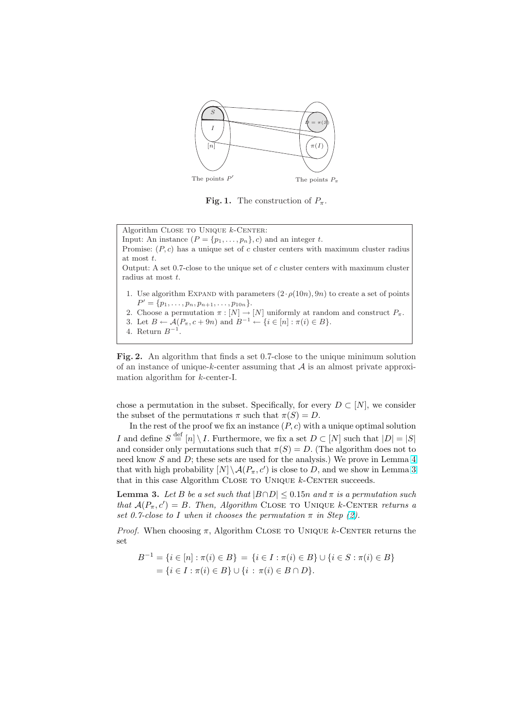<span id="page-12-0"></span>

**Fig. 1.** The construction of  $P_\pi$ .

Algorithm CLOSE TO UNIQUE  $k$ -CENTER: Input: An instance  $(P = \{p_1, \ldots, p_n\}, c)$  and an integer t. Promise:  $(P, c)$  has a unique set of c cluster centers with maximum cluster radius at most t. Output: A set  $0.7$ -close to the unique set of c cluster centers with maximum cluster radius at most  $t$ . 1. Use algorithm EXPAND with parameters  $(2 \cdot \rho(10n), 9n)$  to create a set of points  $P' = \{p_1, \ldots, p_n, p_{n+1}, \ldots, p_{10n}\}.$ 2. Choose a permutation  $\pi : [N] \to [N]$  uniformly at random and construct  $P_{\pi}$ . 3. Let  $B \leftarrow \mathcal{A}(P_{\pi}, c + 9n)$  and  $B^{-1} \leftarrow \{i \in [n] : \pi(i) \in B\}.$ 



Fig. 2. An algorithm that finds a set 0.7-close to the unique minimum solution of an instance of unique- $k$ -center assuming that  $A$  is an almost private approximation algorithm for k-center-I.

chose a permutation in the subset. Specifically, for every  $D \subset [N]$ , we consider the subset of the permutations  $\pi$  such that  $\pi(S) = D$ .

In the rest of the proof we fix an instance  $(P, c)$  with a unique optimal solution I and define  $S \stackrel{\text{def}}{=} [n] \setminus I$ . Furthermore, we fix a set  $D \subset [N]$  such that  $|D| = |S|$ and consider only permutations such that  $\pi(S) = D$ . (The algorithm does not to need know  $S$  and  $D$ ; these sets are used for the analysis.) We prove in Lemma  $4$ that with high probability  $[N] \setminus \mathcal{A}(P_\pi, c')$  is close to D, and we show in Lemma 3 that in this case Algorithm CLOSE TO UNIQUE  $k$ -CENTER succeeds.

**Lemma 3.** Let B be a set such that  $|B \cap D| \leq 0.15n$  and  $\pi$  is a permutation such that  $A(P_{\pi}, c') = B$ . Then, Algorithm CLOSE TO UNIQUE k-CENTER returns [a](#page-13-0) set 0.7-close to I when it chooses the permutation  $\pi$  in Step (2).

*Proof.* When choosing  $\pi$ , Algorithm CLOSE TO UNIQUE k-CENTER returns the set

$$
B^{-1} = \{ i \in [n] : \pi(i) \in B \} = \{ i \in I : \pi(i) \in B \} \cup \{ i \in S : \pi(i) \in B \} = \{ i \in I : \pi(i) \in B \} \cup \{ i : \pi(i) \in B \cap D \}.
$$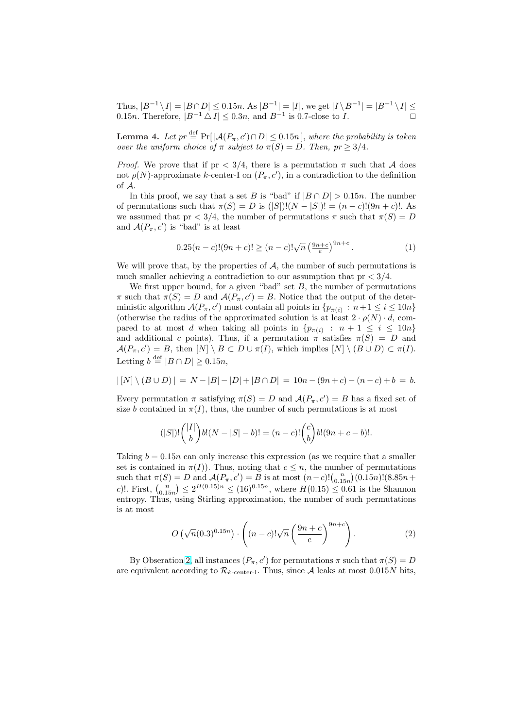<span id="page-13-0"></span>Thus,  $|B^{-1} \setminus I| = |B \cap D| \le 0.15n$ . As  $|B^{-1}| = |I|$ , we get  $|I \setminus B^{-1}| = |B^{-1} \setminus I| \le$ 0.15*n*. Therefore,  $|B^{-1} \triangle I|$  ≤ 0.3*n*, and  $B^{-1}$  is 0.7-close to *I*.

**Lemma 4.** Let  $pr \stackrel{\text{def}}{=} Pr[ |A(P_{\pi}, c') \cap D| \le 0.15n ]$ , where the probability is taken over the uniform choice of  $\pi$  subject to  $\pi(S) = D$ . Then,  $pr \geq 3/4$ .

*Proof.* We prove that if  $pr < 3/4$ , there is a permutation  $\pi$  such that A does not  $\rho(N)$ -approximate k-center-I on  $(P_\pi, c')$ , in a contradiction to the definition of A.

In this proof, we say that a set B is "bad" if  $|B \cap D| > 0.15n$ . The number of permutations such that  $\pi(S) = D$  is  $(|S|)(N - |S|)! = (n - c)!(9n + c)!$ . As we assumed that  $pr < 3/4$ , the number of permutations  $\pi$  such that  $\pi(S) = D$ and  $\mathcal{A}(P_{\pi}, c')$  is "bad" is at least

$$
0.25(n-c)!(9n+c)! \ge (n-c)!\sqrt{n} \left(\frac{9n+c}{e}\right)^{9n+c}.
$$
 (1)

We will prove that, by the properties of  $A$ , the number of such permutations is much smaller achieving a contradiction to our assumption that  $pr < 3/4$ .

We first upper bound, for a given "bad" set  $B$ , the number of permutations  $\pi$  such that  $\pi(S) = D$  and  $\mathcal{A}(P_{\pi}, c') = B$ . Notice that the output of the deterministic algorithm  $\mathcal{A}(P_\pi, c')$  must contain all points in  $\{p_{\pi(i)} : n+1 \leq i \leq 10n\}$ (otherwise the radius of the approximated solution is at least  $2 \cdot \rho(N) \cdot d$ , compared to at most d when taking all points in  $\{p_{\pi(i)} : n+1 \leq i \leq 10n\}$ and additional c points). Thus, if a permutation  $\pi$  satisfies  $\pi(S) = D$  and  $\mathcal{A}(P_\pi, c') = B$ , then  $[N] \setminus B \subset D \cup \pi(I)$ , which implies  $[N] \setminus (B \cup D) \subset \pi(I)$ . Letting  $b \stackrel{\text{def}}{=} |B \cap D| \ge 0.15n$ ,

$$
| [N] \setminus (B \cup D) | = N - |B| - |D| + |B \cap D| = 10n - (9n + c) - (n - c) + b = b.
$$

Every permutation  $\pi$  satisfying  $\pi(S) = D$  and  $\mathcal{A}(P_{\pi}, c') = B$  has a fixed set of size b contained in  $\pi(I)$ , thus, the number of such permutations is at most

$$
(|S|)!\binom{|I|}{b}b!(N-|S|-b)! = (n-c)!\binom{c}{b}b!(9n+c-b)!.
$$

Taking  $b = 0.15n$  can only increase this expression (as we require that a smaller set is contained in  $\pi(I)$ ). Thus, noting that  $c \leq n$ , the number of permutations set is contained in  $\pi(I)$ ). Thus, noting that  $c \leq n$ , the number of permutations<br>such that  $\pi(S) = D$  and  $\mathcal{A}(P_{\pi}, c') = B$  is at most  $(n-c)!\binom{n}{0.15n}(0.15n)!(8.85n +$ such that  $n(\mathcal{S})$ .<br>c)!. First,  $\binom{n}{0.15n}$  $\overline{\phantom{a}}$  $\leq 2^{H(0.15)n} \leq (16)^{0.15n}$ , where  $H(0.15) \leq 0.61$  is the Shannon entropy. Thus, using Stirling approximation, the number of such permutations is at most

$$
O\left(\sqrt{n}(0.3)^{0.15n}\right) \cdot \left( (n-c)! \sqrt{n} \left( \frac{9n+c}{e} \right)^{9n+c} \right). \tag{2}
$$

By Obseration 2, all instances  $(P_{\pi}, c')$  for permutations  $\pi$  such that  $\pi(S) = D$ are equivalent according to  $\mathcal{R}_{k\text{-center-I}}$ . Thus, since A leaks at most 0.015N bits,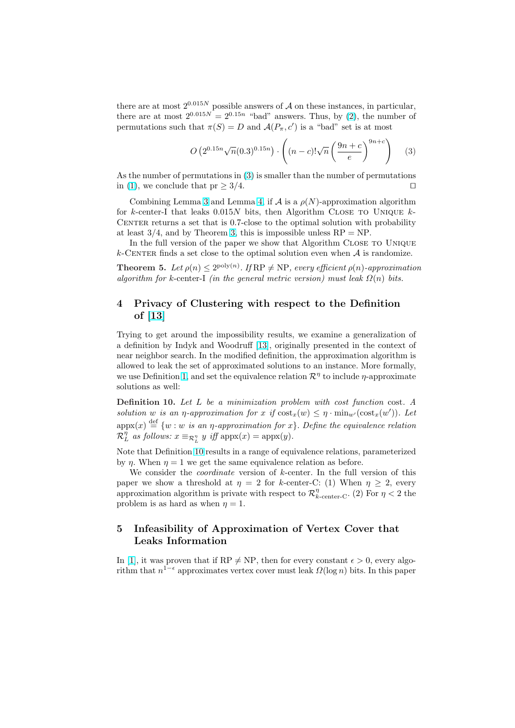<span id="page-14-0"></span>there are at most  $2^{0.015N}$  possible answers of A on these instances, in particular, there are at most  $2^{0.015N} = 2^{0.15n}$  "bad" answers. Thus, by (2), the number of permutations such that  $\pi(S) = D$  and  $\mathcal{A}(P_{\pi}, c')$  is a "bad" set is at most

$$
O\left(2^{0.15n}\sqrt{n}(0.3)^{0.15n}\right) \cdot \left( (n-c)! \sqrt{n} \left(\frac{9n+c}{e}\right)^{9n+c} \right) \tag{3}
$$

As the number of permutations in (3) is smaller than the number of permutations in (1), we conclude that  $pr \geq 3/4$ .

Combining Lemma 3 and Lemma 4, if  $\mathcal A$  is a  $\rho(N)$ -approximation algorithm for k-center-I that leaks  $0.015N$  bits, then Algorithm CLOSE TO UNIQUE  $k$ -CENTER returns a set that is 0.7-close to the optimal solution with probability at [lea](#page-13-0)st  $3/4$ , and by Theorem 3, this is impossible unless  $RP = NP$ .

In the full version [of](#page-12-0) the paper w[e s](#page-13-0)how that Algorithm CLOSE TO UNIQUE k-CENTER finds a set close to the optimal solution even when  $A$  is randomize.

**Theorem 5.** Let  $\rho(n) \leq 2^{\text{poly}(n)}$ . If RP  $\neq$  NP, every efficient  $\rho(n)$ -approximation algorithm for k-c[e](#page-8-0)nter-I (in the general metric version) must leak  $\Omega(n)$  bits.

# 4 Privacy of Clustering with respect to the Definition of [13]

Trying to get around the impossibility results, we examine a generalization of a definition by Indyk and Woodruff [13], originally presented in the context of near nei[ghbo](#page-20-0)r search. In the modified definition, the approximation algorithm is allowed to leak the set of approximated solutions to an instance. More formally, we use Definition 1, and set the equivalence relation  $\mathcal{R}^{\eta}$  to include  $\eta$ -approximate solutions as well:

Definition 10. Let L be a minimization problem with cost function cost. A solution w is an  $\eta$ -approximation for x if  $\text{cost}_x(w) \leq \eta \cdot \min_{w'}(\text{cost}_x(w'))$ . Let  $\mathrm{approx}(x) \stackrel{\mathrm{def}}{=} \{w : w \text{ is an } \eta\text{-approximation for } x\}.$  Define the equivalence relation  $\mathcal{R}_L^{\eta}$  as follows:  $x \equiv_{\mathcal{R}_L^{\eta}} y$  iff  $appx(x) = appx(y)$ .

Note that Definition 10 results in a range of equivalence relations, parameterized by  $\eta$ . When  $\eta = 1$  we get the same equivalence relation as before.

We consider the *coordinate* version of k-center. In the full version of this paper we show a threshold at  $\eta = 2$  for k-center-C: (1) When  $\eta \geq 2$ , every approximation algorithm is private with respect to  $\mathcal{R}_{k\text{-center-C}}^{\eta}$ . (2) For  $\eta < 2$  the problem is as hard as when  $\eta = 1$ .

# 5 Infeasibility of Approximation of Vertex Cover that Leaks Information

In [1], it was proven that if RP  $\neq$  NP, then for every constant  $\epsilon > 0$ , every algorithm that  $n^{1-\epsilon}$  approximates vertex cover must leak  $\Omega(\log n)$  bits. In this paper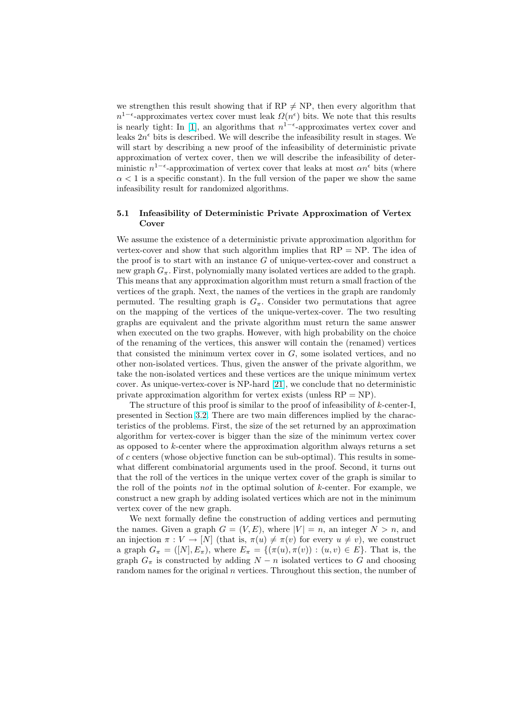we strengthen this result showing that if  $RP \neq NP$ , then every algorithm that  $n^{1-\epsilon}$ -approximates vertex cover must leak  $\Omega(n^{\epsilon})$  bits. We note that this results is nearly tight: In [1], an algorithms that  $n^{1-\epsilon}$ -approximates vertex cover and leaks  $2n^{\epsilon}$  bits is described. We will describe the infeasibility result in stages. We will start by describing a new proof of the infeasibility of deterministic private approximation of vertex cover, then we will describe the infeasibility of deterministic  $n^{1-\epsilon}$ -appr[oxi](#page-20-0)mation of vertex cover that leaks at most  $\alpha n^{\epsilon}$  bits (where  $\alpha$  < 1 is a specific constant). In the full version of the paper we show the same infeasibility result for randomized algorithms.

### 5.1 Infeasibility of Deterministic Private Approximation of Vertex Cover

We assume the existence of a deterministic private approximation algorithm for vertex-cover and show that such algorithm implies that  $RP = NP$ . The idea of the proof is to start with an instance  $G$  of unique-vertex-cover and construct a new graph  $G_{\pi}$ . First, polynomially many isolated vertices are added to the graph. This means that any approximation algorithm must return a small fraction of the vertices of the graph. Next, the names of the vertices in the graph are randomly permuted. The resulting graph is  $G_{\pi}$ . Consider two permutations that agree on the mapping of the vertices of the unique-vertex-cover. The two resulting graphs are equivalent and the private algorithm must return the same answer when executed on the two graphs. However, with high probability on the choice of the renaming of the vertices, this answer will contain the (renamed) vertices that consisted the minimum vertex cover in  $G$ , some isolated vertices, and no other non-isolated vertices. Thus, given the answer of the private algorithm, we take the non-isolated vertices and these vertices are the unique minimum vertex cover. As unique-vertex-cover is NP-hard [21], we conclude that no deterministic private approximation algorithm for vertex exists (unless  $RP = NP$ ).

The structure of this proof is similar to the proof of infeasibility of  $k$ -center-I, presented in Section 3.2. There are two main differences implied by the characteristics of the problems. First, the size of [the](#page-20-0) set returned by an approximation algorithm for vertex-cover is bigger than the size of the minimum vertex cover as opposed to k-center where the approximation algorithm always returns a set of  $c$  centers (whose o[bjec](#page-10-0)tive function can be sub-optimal). This results in somewhat different combinatorial arguments used in the proof. Second, it turns out that the roll of the vertices in the unique vertex cover of the graph is similar to the roll of the points *not* in the optimal solution of  $k$ -center. For example, we construct a new graph by adding isolated vertices which are not in the minimum vertex cover of the new graph.

We next formally define the construction of adding vertices and permuting the names. Given a graph  $G = (V, E)$ , where  $|V| = n$ , an integer  $N > n$ , and an injection  $\pi: V \to [N]$  (that is,  $\pi(u) \neq \pi(v)$  for every  $u \neq v$ ), we construct a graph  $G_{\pi} = ([N], E_{\pi})$ , where  $E_{\pi} = \{(\pi(u), \pi(v)) : (u, v) \in E\}$ . That is, the graph  $G_{\pi}$  is constructed by adding  $N - n$  isolated vertices to G and choosing random names for the original  $n$  vertices. Throughout this section, the number of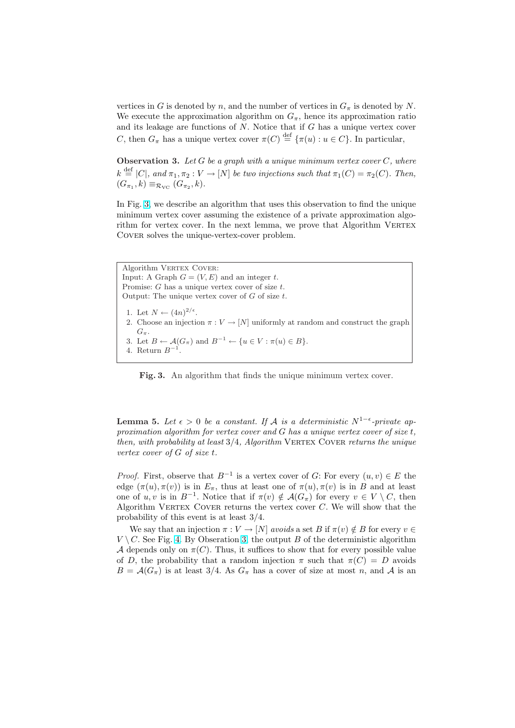<span id="page-16-0"></span>vertices in G is denoted by n, and the number of vertices in  $G_{\pi}$  is denoted by N. We execute the approximation algorithm on  $G_{\pi}$ , hence its approximation ratio and its leakage are functions of  $N$ . Notice that if  $G$  has a unique vertex cover C, then  $G_{\pi}$  has a unique vertex cover  $\pi(C) \stackrel{\text{def}}{=} {\pi(u) : u \in C}$ . In particular,

**Observation 3.** Let G be a graph with a unique minimum vertex cover  $C$ , where  $k \stackrel{\text{def}}{=} |C|$ , and  $\pi_1, \pi_2 : V \to [N]$  be two injections such that  $\pi_1(C) = \pi_2(C)$ . Then,  $(G_{\pi_1}, k) \equiv_{\mathcal{R}_{\text{VC}}} (G_{\pi_2}, k).$ 

In Fig. 3, we describe an algorithm that uses this observation to find the unique minimum vertex cover assuming the existence of a private approximation algorithm for vertex cover. In the next lemma, we prove that Algorithm VERTEX Cover solves the unique-vertex-cover problem.

Algorithm VERTEX COVER: Input: A Graph  $G = (V, E)$  and an integer t. Promise: G has a unique vertex cover of size t. Output: The unique vertex cover of  $G$  of size  $t$ . 1. Let  $N \leftarrow (4n)^{2/\epsilon}$ . 2. Choose an injection  $\pi: V \to [N]$  uniformly at random and construct the graph  $G_{\pi}$ . 3. Let  $B \leftarrow \mathcal{A}(G_{\pi})$  and  $B^{-1} \leftarrow \{u \in V : \pi(u) \in B\}.$ 4. Return  $B^{-1}$ .

Fig. 3. An algorithm that finds the unique minimum vertex cover.

**Lemma 5.** Let  $\epsilon > 0$  be a constant. If A is a deterministic  $N^{1-\epsilon}$ -private approximation algorithm for vertex cover and G has a unique vertex cover of size t, then, with probability at least  $3/4$ , Algorithm VERTEX COVER returns the unique vertex cover of G of size t.

*Proof.* First, observe that  $B^{-1}$  is a vertex cover of G: For every  $(u, v) \in E$  the edge  $(\pi(u), \pi(v))$  is in  $E_{\pi}$ , thus at least one of  $\pi(u), \pi(v)$  is in B and at least one of  $u, v$  is in  $B^{-1}$ . Notice that if  $\pi(v) \notin \mathcal{A}(G_{\pi})$  for every  $v \in V \setminus C$ , then Algorithm VERTEX COVER returns the vertex cover  $C$ . We will show that the probability of this event is at least 3/4.

We say that an injection  $\pi : V \to [N]$  avoids a set B if  $\pi(v) \notin B$  for every  $v \in$  $V \setminus C$ . See Fig. 4. By Obseration 3, the output B of the deterministic algorithm A depends only on  $\pi(C)$ . Thus, it suffices to show that for every possible value of D, the probability that a random injection  $\pi$  such that  $\pi(C) = D$  avoids  $B = \mathcal{A}(G_\pi)$  is at least 3/4. As  $G_\pi$  has a cover of size at most n, and A is an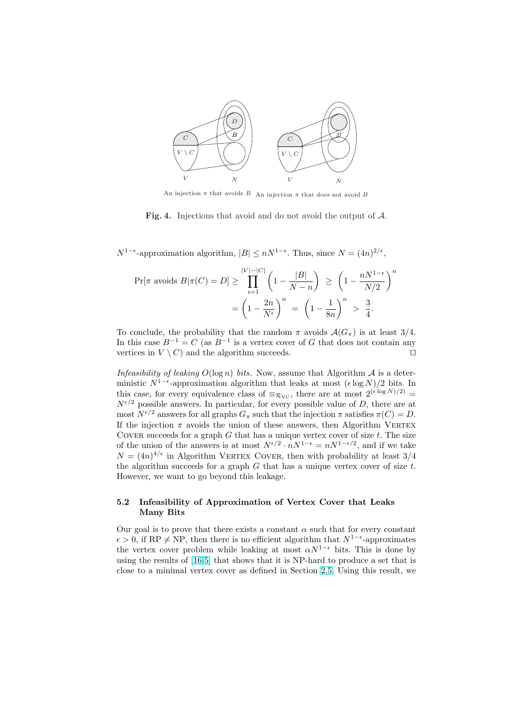

An injection  $\pi$  that avoids  $B$  An injection  $\pi$  that does not avoid B

Fig. 4. Injections that avoid and do not avoid the output of A.

 $N^{1-\epsilon}$ -approximation algorithm,  $|B| \leq nN^{1-\epsilon}$ . Thus, since  $N = (4n)^{2/\epsilon}$ ,

$$
\Pr[\pi \text{ avoids } B|\pi(C) = D] \ge \prod_{i=1}^{|V|-|C|} \left(1 - \frac{|B|}{N-n}\right) \ge \left(1 - \frac{nN^{1-\epsilon}}{N/2}\right)^n
$$

$$
= \left(1 - \frac{2n}{N^{\epsilon}}\right)^n = \left(1 - \frac{1}{8n}\right)^n > \frac{3}{4}.
$$

To conclude, the probability that the random  $\pi$  avoids  $\mathcal{A}(G_{\pi})$  is at least 3/4. In this case  $B^{-1} = C$  (as  $B^{-1}$  is a vertex cover of G that does not contain any vertices in  $V \setminus C$  and the algorithm succeeds.

Infeasibility of leaking  $O(\log n)$  bits. Now, assume that Algorithm A is a deterministic  $N^{1-\epsilon}$ -approximation algorithm that leaks at most  $(\epsilon \log N)/2$  bits. In this case, for every equivalence class of  $\equiv_{\mathcal{R}_{VC}}$ , there are at most  $2^{(\epsilon \log N)/2)}$  $N^{\epsilon/2}$  possible answers. In particular, for every possible value of D, there are at most  $N^{\epsilon/2}$  answers for all graphs  $G_{\pi}$  such that the injection  $\pi$  satisfies  $\pi(C) = D$ . If the injection  $\pi$  avoids the union of these answers, then Algorithm VERTEX COVER succeeds for a graph  $G$  that has a unique vertex cover of size  $t$ . The size of the union of the answers is at most  $N^{\epsilon/2} \cdot nN^{1-\epsilon} = nN^{1-\epsilon/2}$ , and if we take  $N = (4n)^{4/\epsilon}$  in Algorithm VERTEX COVER, then with probability at least 3/4 the algorithm succeeds for a graph  $G$  that has a unique vertex cover of size  $t$ . However, we want to go beyond this leakage.

## 5.2 Infeasibility of Approximation of Vertex Cover that Leaks Many Bits

Our goal is to prove that there exists a constant  $\alpha$  such that for every constant  $\epsilon > 0$ , if RP  $\neq$  NP, then there is no efficient algorithm that  $N^{1-\epsilon}$ -approximates the vertex cover problem while leaking at most  $\alpha N^{1-\epsilon}$  bits. This is done by using the results of [16,5] that shows that it is NP-hard to produce a set that is close to a minimal vertex cover as defined in Section 2.5. Using this result, we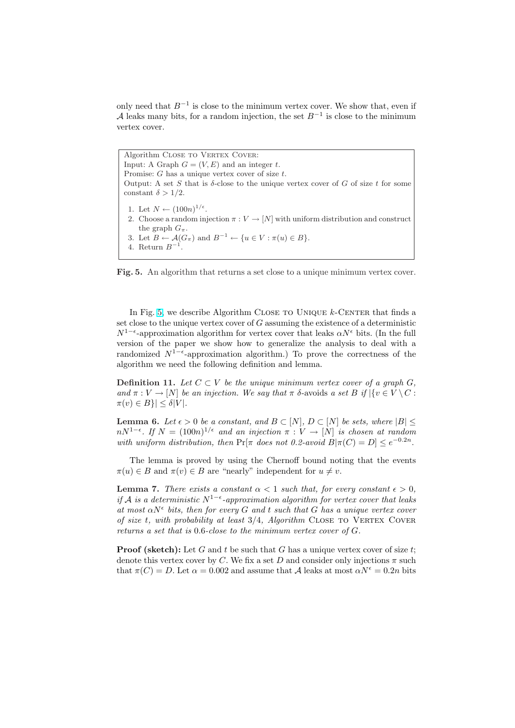<span id="page-18-0"></span>only need that  $B^{-1}$  is close to the minimum vertex cover. We show that, even if A leaks many bits, for a random injection, the set  $B^{-1}$  is close to the minimum vertex cover.

Algorithm CLOSE TO VERTEX COVER: Input: A Graph  $G = (V, E)$  and an integer t. Promise: G has a unique vertex cover of size t. Output: A set S that is  $\delta$ -close to the unique vertex cover of G of size t for some constant  $\delta > 1/2$ . 1. Let  $N \leftarrow (100n)^{1/\epsilon}$ . 2. Choose a random injection  $\pi: V \to [N]$  with uniform distribution and construct the graph  $G_\pi$ . 3. Let  $B \leftarrow \mathcal{A}(G_{\pi})$  and  $B^{-1} \leftarrow \{u \in V : \pi(u) \in B\}.$ 4. Return  $B^{-1}$ .



In Fig. 5, we describe Algorithm CLOSE TO UNIQUE  $k$ -CENTER that finds a set close to the unique vertex cover of  $G$  assuming the existence of a deterministic  $N^{1-\epsilon}$ -approximation algorithm for vertex cover that leaks  $\alpha N^{\epsilon}$  bits. (In the full version of the paper we show how to generalize the analysis to deal with a randomized  $N^{1-\epsilon}$ -approximation algorithm.) To prove the correctness of the algorithm we need the following definition and lemma.

**Definition 11.** Let  $C \subset V$  be the unique minimum vertex cover of a graph  $G$ , and  $\pi: V \to [N]$  be an injection. We say that  $\pi$  δ-avoids a set B if  $|\{v \in V \setminus C :$  $\pi(v) \in B\} \leq \delta |V|.$ 

**Lemma 6.** Let  $\epsilon > 0$  be a constant, and  $B \subset [N], D \subset [N]$  be sets, where  $|B| \leq$  $nN^{1-\epsilon}$ . If  $N = (100n)^{1/\epsilon}$  and an injection  $\pi : V \to [N]$  is chosen at random with uniform distribution, then  $\Pr[\pi \text{ does not } 0.2\text{-avoid } B | \pi(C) = D] \leq e^{-0.2n}$ .

The lemma is proved by using the Chernoff bound noting that the events  $\pi(u) \in B$  and  $\pi(v) \in B$  are "nearly" independent for  $u \neq v$ .

**Lemma 7.** There exists a constant  $\alpha < 1$  such that, for every constant  $\epsilon > 0$ , if A is a deterministic N<sup>1- $\epsilon$ </sup>-approximation algorithm for vertex cover that leaks at most  $\alpha N^{\epsilon}$  bits, then for every G and t such that G has a unique vertex cover of size t, with probability at least  $3/4$ , Algorithm CLOSE TO VERTEX COVER returns a set that is 0.6-close to the minimum vertex cover of G.

**Proof (sketch):** Let G and t be such that G has a unique vertex cover of size t; denote this vertex cover by C. We fix a set D and consider only injections  $\pi$  such that  $\pi(C) = D$ . Let  $\alpha = 0.002$  and assume that A leaks at most  $\alpha N^{\epsilon} = 0.2n$  bits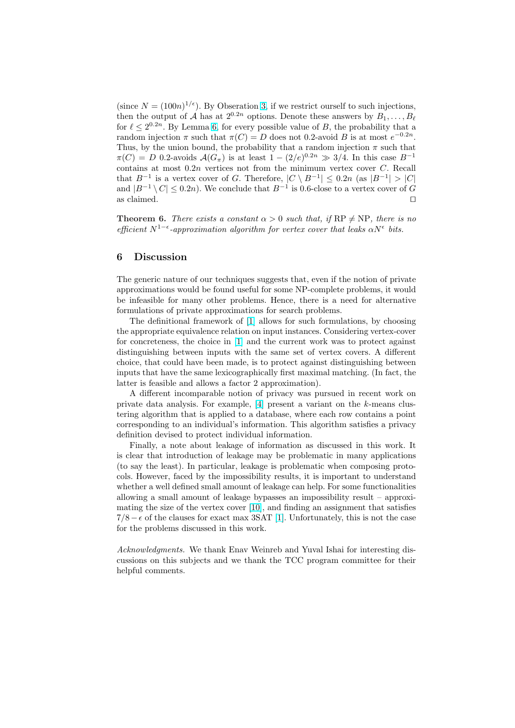(since  $N = (100n)^{1/\epsilon}$ ). By Obseration 3, if we restrict ourself to such injections, then the output of  $\mathcal A$  has at  $2^{0.2n}$  options. Denote these answers by  $B_1, \ldots, B_\ell$ for  $\ell \leq 2^{0.2n}$ . By Lemma 6, for every possible value of B, the probability that a random injection  $\pi$  such that  $\pi(C) = D$  does not 0.2-avoid B is at most  $e^{-0.2n}$ . Thus, by the union bound, the proba[bil](#page-16-0)ity that a random injection  $\pi$  such that  $\pi(C) = D$  0.2-avoids  $\mathcal{A}(G_{\pi})$  is at least  $1 - (2/e)^{0.2n} \gg 3/4$ . In this case  $B^{-1}$ contains at most  $0.2n$  v[ert](#page-18-0)ices not from the minimum vertex cover  $C$ . Recall that  $B^{-1}$  is a vertex cover of G. Therefore,  $|C \setminus B^{-1}| \leq 0.2n$  (as  $|B^{-1}| > |C|$ and  $|B^{-1} \setminus C| \leq 0.2n$ ). We conclude that  $B^{-1}$  is 0.6-close to a vertex cover of G as claimed.  $\Box$ 

**Theorem 6.** There exists a constant  $\alpha > 0$  such that, if RP  $\neq$  NP, there is no efficient N<sup>1- $\epsilon$ </sup>-approximation algorithm for vertex cover that leaks  $\alpha N^{\epsilon}$  bits.

## 6 Discussion

The generic nature of our techniques suggests that, even if the notion of private approximations would be found useful for some NP-complete problems, it would be infeasible for many other problems. Hence, there is a need for alternative formulations of private approximations for search problems.

The definitional framework of [1] allows for such formulations, by choosing the appropriate equivalence relation on input instances. Considering vertex-cover for concreteness, the choice in [1] and the current work was to protect against distinguishing between inputs with the same set of vertex covers. A different choice, that could have been made[, is](#page-20-0) to protect against distinguishing between inputs that have the same lexicographically first maximal matching. (In fact, the latter is feasible and allows a f[act](#page-20-0)or 2 approximation).

A different incomparable notion of privacy was pursued in recent work on private data analysis. For example, [4] present a variant on the k-means clustering algorithm that is applied to a database, where each row contains a point corresponding to an individual's information. This algorithm satisfies a privacy definition devised to protect individual information.

Finally, a note about leakage of [in](#page-20-0)formation as discussed in this work. It is clear that introduction of leakage may be problematic in many applications (to say the least). In particular, leakage is problematic when composing protocols. However, faced by the impossibility results, it is important to understand whether a well defined small amount of leakage can help. For some functionalities allowing a small amount of leakage bypasses an impossibility result – approximating the size of the vertex cover [10], and finding an assignment that satisfies  $7/8$  –  $\epsilon$  of the clauses for exact max 3SAT [1]. Unfortunately, this is not the case for the problems discussed in this work.

Acknowledgments. We thank Enav [We](#page-20-0)inreb and Yuval Ishai for interesting discussions on this subjects and we thank t[he](#page-20-0) TCC program committee for their helpful comments.